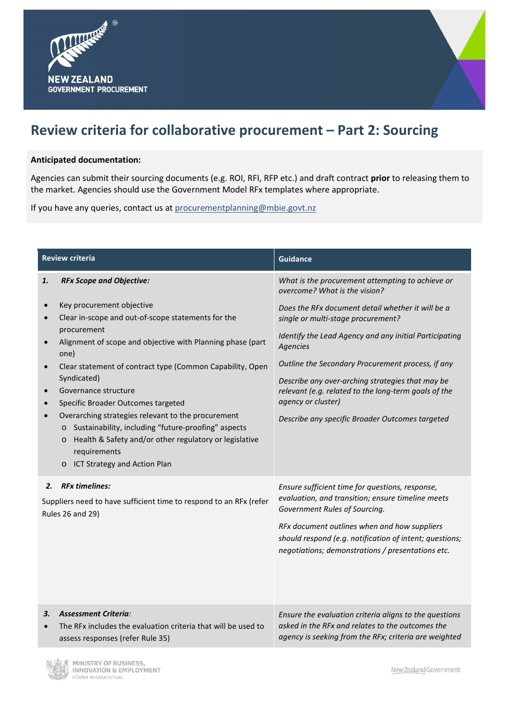



## **Anticipated documentation:**

Agencies can submit their sourcing documents (e.g. ROI, RFI, RFP etc.) and draft contract **prior** to releasing them to the market. Agencies should use the Government Model RFx templates where appropriate.

If you have any queries, contact us at procurementplanning@mbie.govt.nz

| <b>Review criteria</b> |                                                                                                                                                                                                                                                                                                                                                                                                                                                                                                                                                                        | <b>Guidance</b>                                                                                                                                                                                                                                                                                                                                                                                         |
|------------------------|------------------------------------------------------------------------------------------------------------------------------------------------------------------------------------------------------------------------------------------------------------------------------------------------------------------------------------------------------------------------------------------------------------------------------------------------------------------------------------------------------------------------------------------------------------------------|---------------------------------------------------------------------------------------------------------------------------------------------------------------------------------------------------------------------------------------------------------------------------------------------------------------------------------------------------------------------------------------------------------|
| 1.                     | <b>RFx Scope and Objective:</b>                                                                                                                                                                                                                                                                                                                                                                                                                                                                                                                                        | What is the procurement attempting to achieve or<br>overcome? What is the vision?                                                                                                                                                                                                                                                                                                                       |
| $\bullet$              | Key procurement objective<br>Clear in-scope and out-of-scope statements for the<br>procurement<br>Alignment of scope and objective with Planning phase (part<br>one)<br>Clear statement of contract type (Common Capability, Open<br>Syndicated)<br>Governance structure<br>Specific Broader Outcomes targeted<br>Overarching strategies relevant to the procurement<br>Sustainability, including "future-proofing" aspects<br>$\circ$<br>Health & Safety and/or other regulatory or legislative<br>$\circ$<br>requirements<br>ICT Strategy and Action Plan<br>$\circ$ | Does the RFx document detail whether it will be a<br>single or multi-stage procurement?<br>Identify the Lead Agency and any initial Participating<br>Agencies<br>Outline the Secondary Procurement process, if any<br>Describe any over-arching strategies that may be<br>relevant (e.g. related to the long-term goals of the<br>agency or cluster)<br>Describe any specific Broader Outcomes targeted |
| 2.                     | <b>RFx timelines:</b><br>Suppliers need to have sufficient time to respond to an RFx (refer<br><b>Rules 26 and 29)</b>                                                                                                                                                                                                                                                                                                                                                                                                                                                 | Ensure sufficient time for questions, response,<br>evaluation, and transition; ensure timeline meets<br>Government Rules of Sourcing.<br>RFx document outlines when and how suppliers<br>should respond (e.g. notification of intent; questions;<br>negotiations; demonstrations / presentations etc.                                                                                                   |
| З.                     | <b>Assessment Criteria:</b><br>The RFx includes the evaluation criteria that will be used to<br>assess responses (refer Rule 35)                                                                                                                                                                                                                                                                                                                                                                                                                                       | Ensure the evaluation criteria aligns to the questions<br>asked in the RFx and relates to the outcomes the<br>agency is seeking from the RFx; criteria are weighted                                                                                                                                                                                                                                     |



New Zealand Government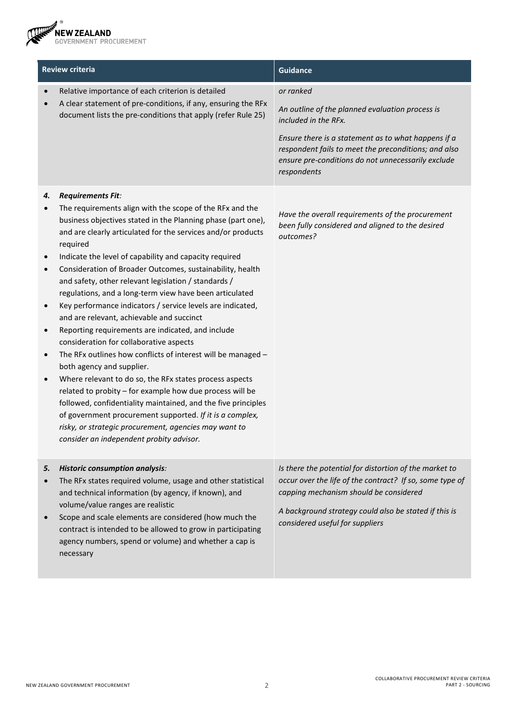NEW ZEALAND<br>GOVERNMENT PROCUREMENT **RE** 

| <b>Review criteria</b>       |                                                                                                                                                                                                                                                                                                                                                                                                                                                                                                                                                                                                                                                                                                                                                                                                                                                                                                                                                                                                                                                                                                                                             | <b>Guidance</b>                                                                                                                                                                                                                                                          |
|------------------------------|---------------------------------------------------------------------------------------------------------------------------------------------------------------------------------------------------------------------------------------------------------------------------------------------------------------------------------------------------------------------------------------------------------------------------------------------------------------------------------------------------------------------------------------------------------------------------------------------------------------------------------------------------------------------------------------------------------------------------------------------------------------------------------------------------------------------------------------------------------------------------------------------------------------------------------------------------------------------------------------------------------------------------------------------------------------------------------------------------------------------------------------------|--------------------------------------------------------------------------------------------------------------------------------------------------------------------------------------------------------------------------------------------------------------------------|
|                              | Relative importance of each criterion is detailed<br>A clear statement of pre-conditions, if any, ensuring the RFx<br>document lists the pre-conditions that apply (refer Rule 25)                                                                                                                                                                                                                                                                                                                                                                                                                                                                                                                                                                                                                                                                                                                                                                                                                                                                                                                                                          | or ranked<br>An outline of the planned evaluation process is<br>included in the RFx.<br>Ensure there is a statement as to what happens if a<br>respondent fails to meet the preconditions; and also<br>ensure pre-conditions do not unnecessarily exclude<br>respondents |
| 4.<br>$\bullet$<br>$\bullet$ | <b>Requirements Fit:</b><br>The requirements align with the scope of the RFx and the<br>business objectives stated in the Planning phase (part one),<br>and are clearly articulated for the services and/or products<br>required<br>Indicate the level of capability and capacity required<br>Consideration of Broader Outcomes, sustainability, health<br>and safety, other relevant legislation / standards /<br>regulations, and a long-term view have been articulated<br>Key performance indicators / service levels are indicated,<br>and are relevant, achievable and succinct<br>Reporting requirements are indicated, and include<br>consideration for collaborative aspects<br>The RFx outlines how conflicts of interest will be managed -<br>both agency and supplier.<br>Where relevant to do so, the RFx states process aspects<br>related to probity - for example how due process will be<br>followed, confidentiality maintained, and the five principles<br>of government procurement supported. If it is a complex,<br>risky, or strategic procurement, agencies may want to<br>consider an independent probity advisor. | Have the overall requirements of the procurement<br>been fully considered and aligned to the desired<br>outcomes?                                                                                                                                                        |
| 5.<br>$\bullet$              | <b>Historic consumption analysis:</b><br>The RFx states required volume, usage and other statistical<br>and technical information (by agency, if known), and<br>volume/value ranges are realistic<br>Scope and scale elements are considered (how much the<br>contract is intended to be allowed to grow in participating<br>agency numbers, spend or volume) and whether a cap is<br>necessary                                                                                                                                                                                                                                                                                                                                                                                                                                                                                                                                                                                                                                                                                                                                             | Is there the potential for distortion of the market to<br>occur over the life of the contract? If so, some type of<br>capping mechanism should be considered<br>A background strategy could also be stated if this is<br>considered useful for suppliers                 |